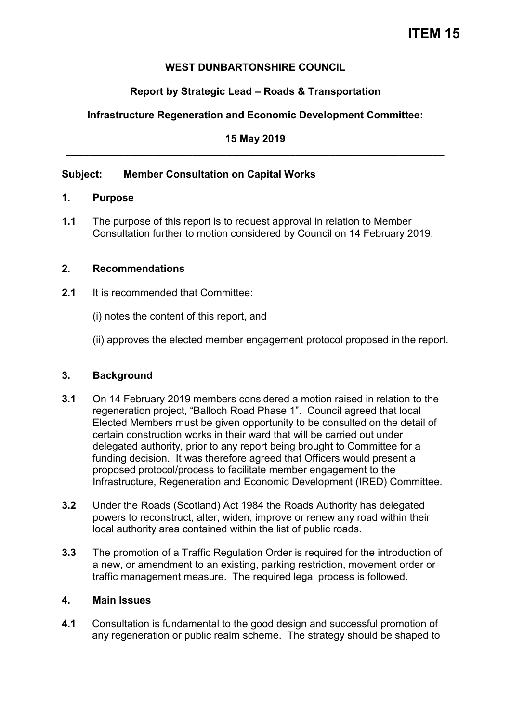# **ITEM 15**

#### **WEST DUNBARTONSHIRE COUNCIL**

## **Report by Strategic Lead – Roads & Transportation**

## **Infrastructure Regeneration and Economic Development Committee:**

**15 May 2019 \_\_\_\_\_\_\_\_\_\_\_\_\_\_\_\_\_\_\_\_\_\_\_\_\_\_\_\_\_\_\_\_\_\_\_\_\_\_\_\_\_\_\_\_\_\_\_\_\_\_\_\_\_\_\_\_\_\_\_\_\_\_\_\_\_\_** 

#### **Subject: Member Consultation on Capital Works**

#### **1. Purpose**

**1.1** The purpose of this report is to request approval in relation to Member Consultation further to motion considered by Council on 14 February 2019.

#### **2. Recommendations**

- **2.1** It is recommended that Committee:
	- (i) notes the content of this report, and
	- (ii) approves the elected member engagement protocol proposed in the report.

#### **3. Background**

- **3.1** On 14 February 2019 members considered a motion raised in relation to the regeneration project, "Balloch Road Phase 1". Council agreed that local Elected Members must be given opportunity to be consulted on the detail of certain construction works in their ward that will be carried out under delegated authority, prior to any report being brought to Committee for a funding decision. It was therefore agreed that Officers would present a proposed protocol/process to facilitate member engagement to the Infrastructure, Regeneration and Economic Development (IRED) Committee.
- **3.2** Under the Roads (Scotland) Act 1984 the Roads Authority has delegated powers to reconstruct, alter, widen, improve or renew any road within their local authority area contained within the list of public roads.
- **3.3** The promotion of a Traffic Regulation Order is required for the introduction of a new, or amendment to an existing, parking restriction, movement order or traffic management measure. The required legal process is followed.

#### **4. Main Issues**

**4.1** Consultation is fundamental to the good design and successful promotion of any regeneration or public realm scheme. The strategy should be shaped to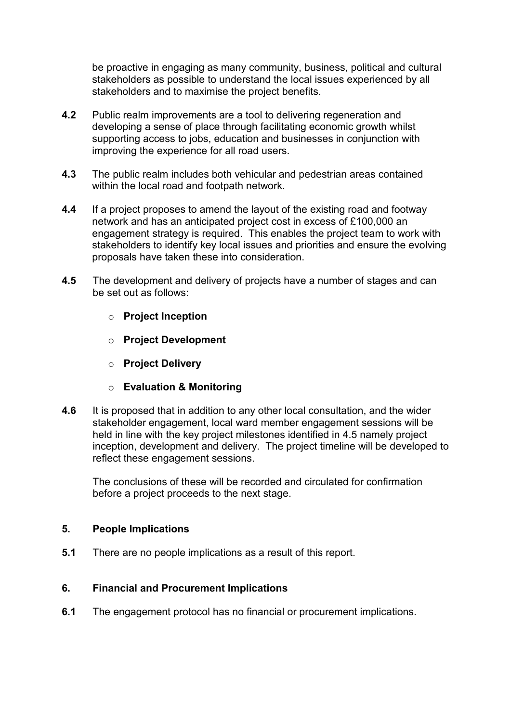be proactive in engaging as many community, business, political and cultural stakeholders as possible to understand the local issues experienced by all stakeholders and to maximise the project benefits.

- **4.2** Public realm improvements are a tool to delivering regeneration and developing a sense of place through facilitating economic growth whilst supporting access to jobs, education and businesses in conjunction with improving the experience for all road users.
- **4.3** The public realm includes both vehicular and pedestrian areas contained within the local road and footpath network.
- **4.4** If a project proposes to amend the layout of the existing road and footway network and has an anticipated project cost in excess of £100,000 an engagement strategy is required. This enables the project team to work with stakeholders to identify key local issues and priorities and ensure the evolving proposals have taken these into consideration.
- **4.5** The development and delivery of projects have a number of stages and can be set out as follows:
	- o **Project Inception**
	- o **Project Development**
	- o **Project Delivery**
	- o **Evaluation & Monitoring**
- **4.6** It is proposed that in addition to any other local consultation, and the wider stakeholder engagement, local ward member engagement sessions will be held in line with the key project milestones identified in 4.5 namely project inception, development and delivery. The project timeline will be developed to reflect these engagement sessions.

The conclusions of these will be recorded and circulated for confirmation before a project proceeds to the next stage.

#### **5. People Implications**

**5.1** There are no people implications as a result of this report.

#### **6. Financial and Procurement Implications**

**6.1** The engagement protocol has no financial or procurement implications.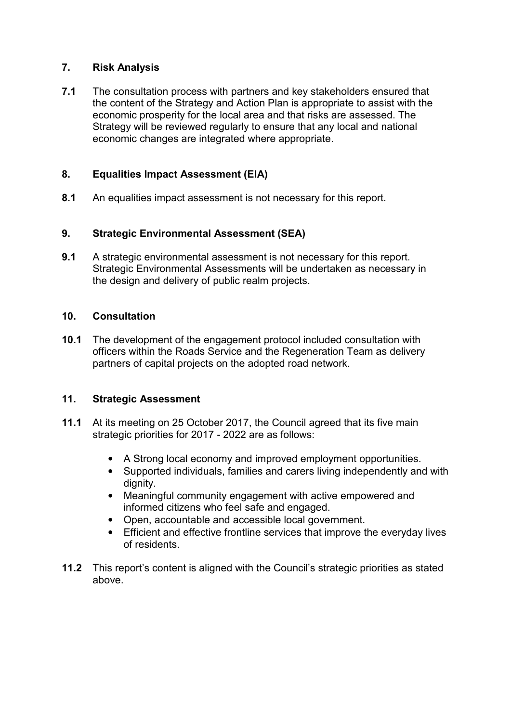## **7. Risk Analysis**

**7.1** The consultation process with partners and key stakeholders ensured that the content of the Strategy and Action Plan is appropriate to assist with the economic prosperity for the local area and that risks are assessed. The Strategy will be reviewed regularly to ensure that any local and national economic changes are integrated where appropriate.

## **8. Equalities Impact Assessment (EIA)**

**8.1** An equalities impact assessment is not necessary for this report.

#### **9. Strategic Environmental Assessment (SEA)**

**9.1** A strategic environmental assessment is not necessary for this report. Strategic Environmental Assessments will be undertaken as necessary in the design and delivery of public realm projects.

#### **10. Consultation**

**10.1** The development of the engagement protocol included consultation with officers within the Roads Service and the Regeneration Team as delivery partners of capital projects on the adopted road network.

#### **11. Strategic Assessment**

- **11.1** At its meeting on 25 October 2017, the Council agreed that its five main strategic priorities for 2017 - 2022 are as follows:
	- A Strong local economy and improved employment opportunities.
	- Supported individuals, families and carers living independently and with dignity.
	- Meaningful community engagement with active empowered and informed citizens who feel safe and engaged.
	- Open, accountable and accessible local government.
	- Efficient and effective frontline services that improve the everyday lives of residents.
- **11.2** This report's content is aligned with the Council's strategic priorities as stated above.